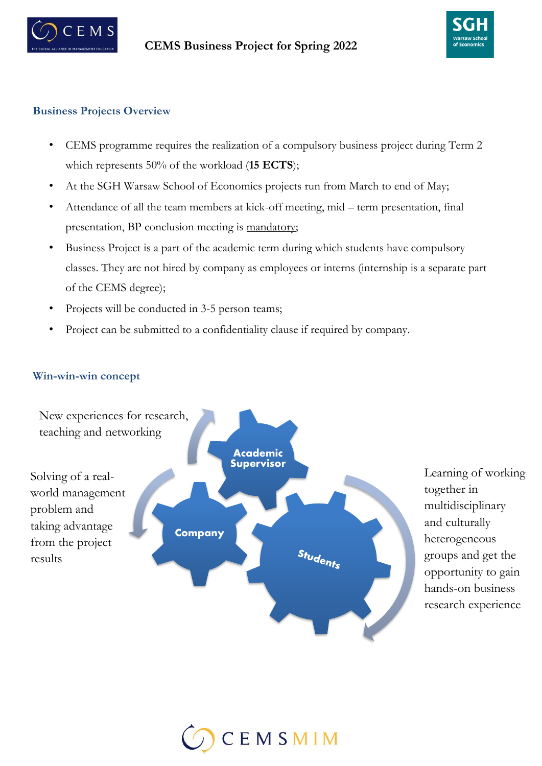



## **Business Projects Overview**

- CEMS programme requires the realization of a compulsory business project during Term 2 which represents 50% of the workload (**15 ECTS**);
- At the SGH Warsaw School of Economics projects run from March to end of May;
- Attendance of all the team members at kick-off meeting, mid term presentation, final presentation, BP conclusion meeting is mandatory;
- Business Project is a part of the academic term during which students have compulsory classes. They are not hired by company as employees or interns (internship is a separate part of the CEMS degree);
- Projects will be conducted in 3-5 person teams;
- Project can be submitted to a confidentiality clause if required by company.

## **Win-win-win concept**



Learning of working together in multidisciplinary and culturally heterogeneous groups and get the opportunity to gain hands-on business research experience

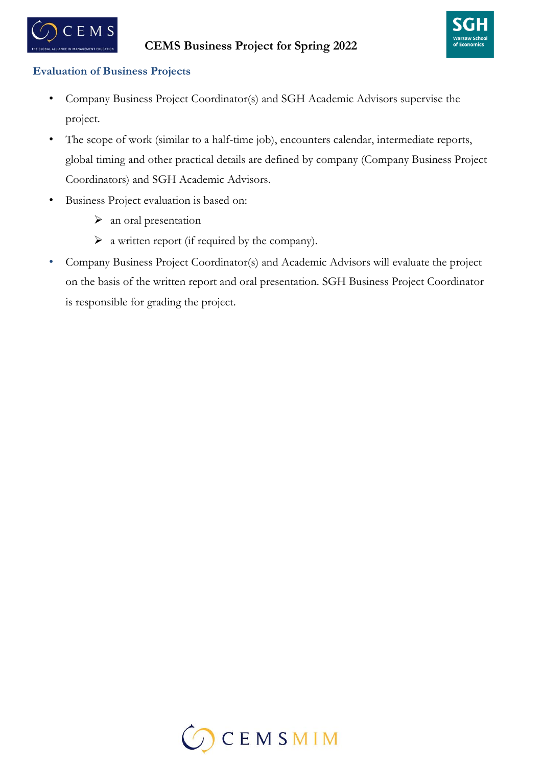



## **Evaluation of Business Projects**

- Company Business Project Coordinator(s) and SGH Academic Advisors supervise the project.
- The scope of work (similar to a half-time job), encounters calendar, intermediate reports, global timing and other practical details are defined by company (Company Business Project Coordinators) and SGH Academic Advisors.
- Business Project evaluation is based on:
	- $\triangleright$  an oral presentation
	- $\triangleright$  a written report (if required by the company).
- Company Business Project Coordinator(s) and Academic Advisors will evaluate the project on the basis of the written report and oral presentation. SGH Business Project Coordinator is responsible for grading the project.

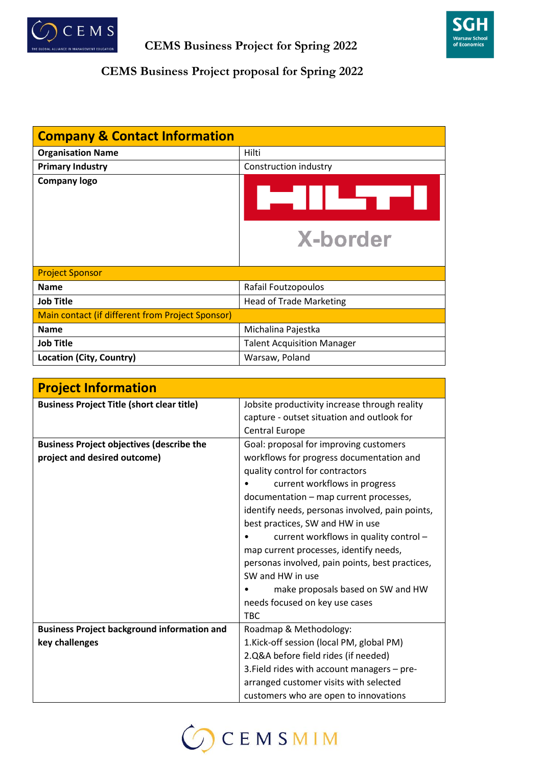



## **CEMS Business Project proposal for Spring 2022**

| <b>Company &amp; Contact Information</b>         |                                   |
|--------------------------------------------------|-----------------------------------|
| <b>Organisation Name</b>                         | Hilti                             |
| <b>Primary Industry</b>                          | Construction industry             |
| <b>Company logo</b>                              | . = 11 ™u r                       |
|                                                  | <b>X-border</b>                   |
| <b>Project Sponsor</b>                           |                                   |
| <b>Name</b>                                      | Rafail Foutzopoulos               |
| <b>Job Title</b>                                 | <b>Head of Trade Marketing</b>    |
| Main contact (if different from Project Sponsor) |                                   |
| <b>Name</b>                                      | Michalina Pajestka                |
| <b>Job Title</b>                                 | <b>Talent Acquisition Manager</b> |
| Location (City, Country)                         | Warsaw, Poland                    |

| <b>Project Information</b>                         |                                                 |
|----------------------------------------------------|-------------------------------------------------|
| <b>Business Project Title (short clear title)</b>  | Jobsite productivity increase through reality   |
|                                                    | capture - outset situation and outlook for      |
|                                                    | <b>Central Europe</b>                           |
| <b>Business Project objectives (describe the</b>   | Goal: proposal for improving customers          |
| project and desired outcome)                       | workflows for progress documentation and        |
|                                                    | quality control for contractors                 |
|                                                    | current workflows in progress                   |
|                                                    | documentation - map current processes,          |
|                                                    | identify needs, personas involved, pain points, |
|                                                    | best practices, SW and HW in use                |
|                                                    | current workflows in quality control -          |
|                                                    | map current processes, identify needs,          |
|                                                    | personas involved, pain points, best practices, |
|                                                    | SW and HW in use                                |
|                                                    | make proposals based on SW and HW               |
|                                                    | needs focused on key use cases                  |
|                                                    | <b>TBC</b>                                      |
| <b>Business Project background information and</b> | Roadmap & Methodology:                          |
| key challenges                                     | 1.Kick-off session (local PM, global PM)        |
|                                                    | 2.Q&A before field rides (if needed)            |
|                                                    | 3. Field rides with account managers - pre-     |
|                                                    | arranged customer visits with selected          |
|                                                    | customers who are open to innovations           |

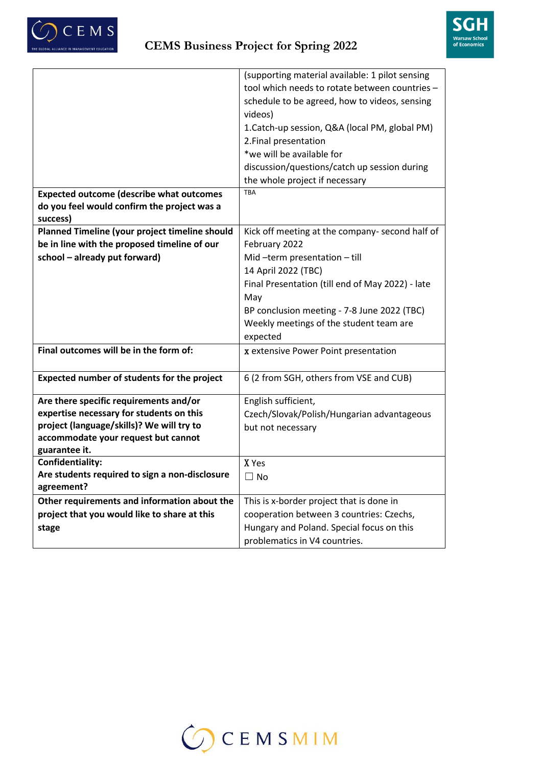



|                                                              | (supporting material available: 1 pilot sensing<br>tool which needs to rotate between countries -<br>schedule to be agreed, how to videos, sensing<br>videos)<br>1. Catch-up session, Q&A (local PM, global PM)<br>2. Final presentation |
|--------------------------------------------------------------|------------------------------------------------------------------------------------------------------------------------------------------------------------------------------------------------------------------------------------------|
|                                                              | *we will be available for                                                                                                                                                                                                                |
|                                                              | discussion/questions/catch up session during                                                                                                                                                                                             |
|                                                              | the whole project if necessary                                                                                                                                                                                                           |
| <b>Expected outcome (describe what outcomes</b>              | <b>TBA</b>                                                                                                                                                                                                                               |
| do you feel would confirm the project was a<br>success)      |                                                                                                                                                                                                                                          |
| Planned Timeline (your project timeline should               | Kick off meeting at the company- second half of                                                                                                                                                                                          |
| be in line with the proposed timeline of our                 | February 2022                                                                                                                                                                                                                            |
| school - already put forward)                                | Mid-term presentation-till                                                                                                                                                                                                               |
|                                                              | 14 April 2022 (TBC)                                                                                                                                                                                                                      |
|                                                              | Final Presentation (till end of May 2022) - late                                                                                                                                                                                         |
|                                                              | May                                                                                                                                                                                                                                      |
|                                                              | BP conclusion meeting - 7-8 June 2022 (TBC)<br>Weekly meetings of the student team are                                                                                                                                                   |
|                                                              | expected                                                                                                                                                                                                                                 |
| Final outcomes will be in the form of:                       | x extensive Power Point presentation                                                                                                                                                                                                     |
|                                                              |                                                                                                                                                                                                                                          |
| Expected number of students for the project                  | 6 (2 from SGH, others from VSE and CUB)                                                                                                                                                                                                  |
| Are there specific requirements and/or                       | English sufficient,                                                                                                                                                                                                                      |
| expertise necessary for students on this                     | Czech/Slovak/Polish/Hungarian advantageous                                                                                                                                                                                               |
| project (language/skills)? We will try to                    | but not necessary                                                                                                                                                                                                                        |
| accommodate your request but cannot<br>guarantee it.         |                                                                                                                                                                                                                                          |
| Confidentiality:                                             | X Yes                                                                                                                                                                                                                                    |
| Are students required to sign a non-disclosure<br>agreement? | $\Box$ No                                                                                                                                                                                                                                |
| Other requirements and information about the                 | This is x-border project that is done in                                                                                                                                                                                                 |
| project that you would like to share at this                 | cooperation between 3 countries: Czechs,                                                                                                                                                                                                 |
| stage                                                        | Hungary and Poland. Special focus on this                                                                                                                                                                                                |
|                                                              | problematics in V4 countries.                                                                                                                                                                                                            |

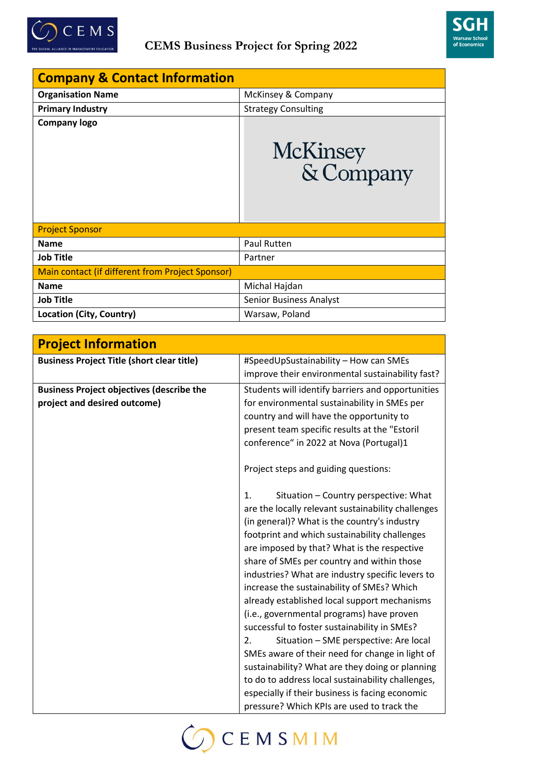



| <b>Company &amp; Contact Information</b>         |                                |
|--------------------------------------------------|--------------------------------|
| <b>Organisation Name</b>                         | McKinsey & Company             |
| <b>Primary Industry</b>                          | <b>Strategy Consulting</b>     |
| <b>Company logo</b>                              | McKinsey<br>& Company          |
| <b>Project Sponsor</b>                           |                                |
| <b>Name</b>                                      | Paul Rutten                    |
| <b>Job Title</b>                                 | Partner                        |
| Main contact (if different from Project Sponsor) |                                |
| <b>Name</b>                                      | Michal Hajdan                  |
| <b>Job Title</b>                                 | <b>Senior Business Analyst</b> |
| Location (City, Country)                         | Warsaw, Poland                 |

| <b>Project Information</b>                        |                                                    |
|---------------------------------------------------|----------------------------------------------------|
| <b>Business Project Title (short clear title)</b> | #SpeedUpSustainability - How can SMEs              |
|                                                   | improve their environmental sustainability fast?   |
| <b>Business Project objectives (describe the</b>  | Students will identify barriers and opportunities  |
| project and desired outcome)                      | for environmental sustainability in SMEs per       |
|                                                   | country and will have the opportunity to           |
|                                                   | present team specific results at the "Estoril      |
|                                                   | conference" in 2022 at Nova (Portugal)1            |
|                                                   | Project steps and guiding questions:               |
|                                                   | Situation - Country perspective: What<br>1.        |
|                                                   | are the locally relevant sustainability challenges |
|                                                   | (in general)? What is the country's industry       |
|                                                   | footprint and which sustainability challenges      |
|                                                   | are imposed by that? What is the respective        |
|                                                   | share of SMEs per country and within those         |
|                                                   | industries? What are industry specific levers to   |
|                                                   | increase the sustainability of SMEs? Which         |
|                                                   | already established local support mechanisms       |
|                                                   | (i.e., governmental programs) have proven          |
|                                                   | successful to foster sustainability in SMEs?       |
|                                                   | Situation - SME perspective: Are local<br>2.       |
|                                                   | SMEs aware of their need for change in light of    |
|                                                   | sustainability? What are they doing or planning    |
|                                                   | to do to address local sustainability challenges,  |
|                                                   | especially if their business is facing economic    |
|                                                   | pressure? Which KPIs are used to track the         |

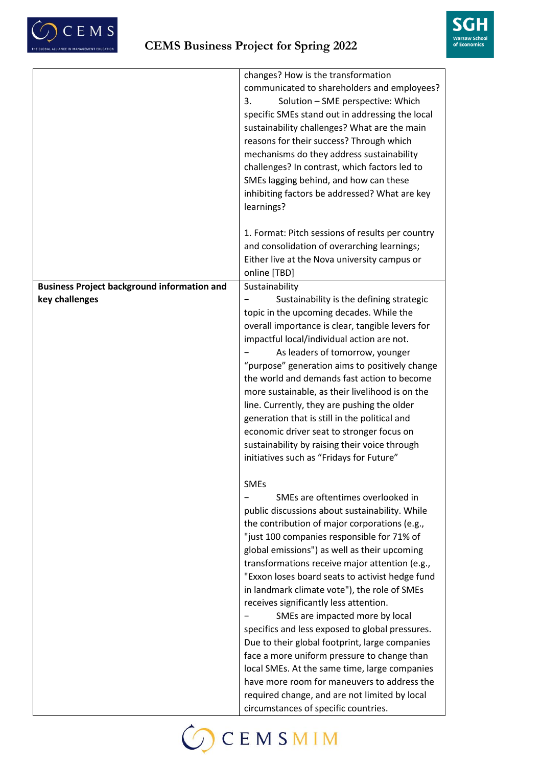



|                                                    | changes? How is the transformation               |
|----------------------------------------------------|--------------------------------------------------|
|                                                    | communicated to shareholders and employees?      |
|                                                    | Solution - SME perspective: Which<br>3.          |
|                                                    | specific SMEs stand out in addressing the local  |
|                                                    | sustainability challenges? What are the main     |
|                                                    |                                                  |
|                                                    | reasons for their success? Through which         |
|                                                    | mechanisms do they address sustainability        |
|                                                    | challenges? In contrast, which factors led to    |
|                                                    | SMEs lagging behind, and how can these           |
|                                                    | inhibiting factors be addressed? What are key    |
|                                                    | learnings?                                       |
|                                                    |                                                  |
|                                                    | 1. Format: Pitch sessions of results per country |
|                                                    | and consolidation of overarching learnings;      |
|                                                    | Either live at the Nova university campus or     |
|                                                    | online [TBD]                                     |
| <b>Business Project background information and</b> | Sustainability                                   |
| key challenges                                     | Sustainability is the defining strategic         |
|                                                    | topic in the upcoming decades. While the         |
|                                                    | overall importance is clear, tangible levers for |
|                                                    | impactful local/individual action are not.       |
|                                                    | As leaders of tomorrow, younger                  |
|                                                    | "purpose" generation aims to positively change   |
|                                                    | the world and demands fast action to become      |
|                                                    | more sustainable, as their livelihood is on the  |
|                                                    | line. Currently, they are pushing the older      |
|                                                    | generation that is still in the political and    |
|                                                    | economic driver seat to stronger focus on        |
|                                                    | sustainability by raising their voice through    |
|                                                    | initiatives such as "Fridays for Future"         |
|                                                    |                                                  |
|                                                    | <b>SMEs</b>                                      |
|                                                    | SMEs are oftentimes overlooked in                |
|                                                    | public discussions about sustainability. While   |
|                                                    | the contribution of major corporations (e.g.,    |
|                                                    | "just 100 companies responsible for 71% of       |
|                                                    | global emissions") as well as their upcoming     |
|                                                    | transformations receive major attention (e.g.,   |
|                                                    | "Exxon loses board seats to activist hedge fund  |
|                                                    | in landmark climate vote"), the role of SMEs     |
|                                                    | receives significantly less attention.           |
|                                                    | SMEs are impacted more by local                  |
|                                                    | specifics and less exposed to global pressures.  |
|                                                    | Due to their global footprint, large companies   |
|                                                    | face a more uniform pressure to change than      |
|                                                    | local SMEs. At the same time, large companies    |
|                                                    | have more room for maneuvers to address the      |
|                                                    | required change, and are not limited by local    |
|                                                    | circumstances of specific countries.             |
|                                                    |                                                  |

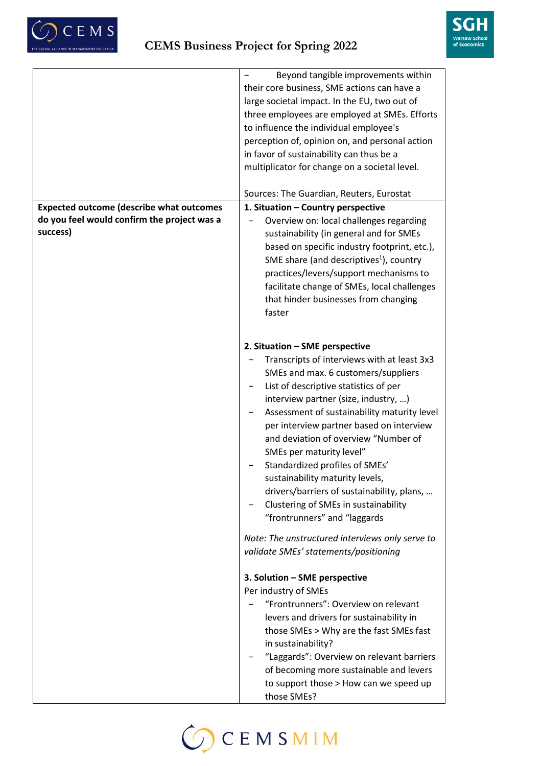



|                                                         | Beyond tangible improvements within<br>their core business, SME actions can have a<br>large societal impact. In the EU, two out of<br>three employees are employed at SMEs. Efforts<br>to influence the individual employee's<br>perception of, opinion on, and personal action<br>in favor of sustainability can thus be a<br>multiplicator for change on a societal level.                                                                                                                                                                                    |
|---------------------------------------------------------|-----------------------------------------------------------------------------------------------------------------------------------------------------------------------------------------------------------------------------------------------------------------------------------------------------------------------------------------------------------------------------------------------------------------------------------------------------------------------------------------------------------------------------------------------------------------|
|                                                         | Sources: The Guardian, Reuters, Eurostat                                                                                                                                                                                                                                                                                                                                                                                                                                                                                                                        |
| <b>Expected outcome (describe what outcomes</b>         | 1. Situation - Country perspective                                                                                                                                                                                                                                                                                                                                                                                                                                                                                                                              |
| do you feel would confirm the project was a<br>success) | Overview on: local challenges regarding<br>sustainability (in general and for SMEs<br>based on specific industry footprint, etc.),<br>SME share (and descriptives <sup>1</sup> ), country<br>practices/levers/support mechanisms to<br>facilitate change of SMEs, local challenges<br>that hinder businesses from changing<br>faster                                                                                                                                                                                                                            |
|                                                         | 2. Situation - SME perspective<br>Transcripts of interviews with at least 3x3<br>SMEs and max. 6 customers/suppliers<br>List of descriptive statistics of per<br>interview partner (size, industry, )<br>Assessment of sustainability maturity level<br>per interview partner based on interview<br>and deviation of overview "Number of<br>SMEs per maturity level"<br>Standardized profiles of SMEs'<br>sustainability maturity levels,<br>drivers/barriers of sustainability, plans,<br>Clustering of SMEs in sustainability<br>"frontrunners" and "laggards |
|                                                         | Note: The unstructured interviews only serve to<br>validate SMEs' statements/positioning                                                                                                                                                                                                                                                                                                                                                                                                                                                                        |
|                                                         | 3. Solution - SME perspective<br>Per industry of SMEs<br>"Frontrunners": Overview on relevant<br>levers and drivers for sustainability in<br>those SMEs > Why are the fast SMEs fast<br>in sustainability?<br>"Laggards": Overview on relevant barriers<br>of becoming more sustainable and levers<br>to support those > How can we speed up<br>those SMEs?                                                                                                                                                                                                     |

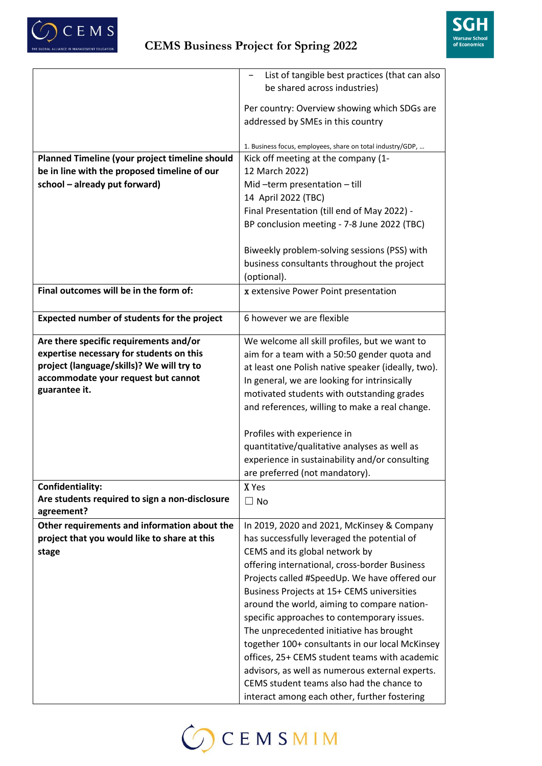



| List of tangible best practices (that can also<br>be shared across industries)                  |
|-------------------------------------------------------------------------------------------------|
|                                                                                                 |
|                                                                                                 |
| Per country: Overview showing which SDGs are                                                    |
| addressed by SMEs in this country                                                               |
|                                                                                                 |
| 1. Business focus, employees, share on total industry/GDP,                                      |
| Planned Timeline (your project timeline should<br>Kick off meeting at the company (1-           |
| be in line with the proposed timeline of our<br>12 March 2022)                                  |
| school - already put forward)<br>Mid-term presentation-till                                     |
| 14 April 2022 (TBC)                                                                             |
| Final Presentation (till end of May 2022) -                                                     |
| BP conclusion meeting - 7-8 June 2022 (TBC)                                                     |
|                                                                                                 |
| Biweekly problem-solving sessions (PSS) with                                                    |
| business consultants throughout the project                                                     |
| (optional).                                                                                     |
| Final outcomes will be in the form of:<br>x extensive Power Point presentation                  |
|                                                                                                 |
| Expected number of students for the project<br>6 however we are flexible                        |
|                                                                                                 |
| Are there specific requirements and/or<br>We welcome all skill profiles, but we want to         |
| expertise necessary for students on this<br>aim for a team with a 50:50 gender quota and        |
| project (language/skills)? We will try to<br>at least one Polish native speaker (ideally, two). |
| accommodate your request but cannot<br>In general, we are looking for intrinsically             |
| guarantee it.<br>motivated students with outstanding grades                                     |
| and references, willing to make a real change.                                                  |
|                                                                                                 |
| Profiles with experience in                                                                     |
| quantitative/qualitative analyses as well as                                                    |
| experience in sustainability and/or consulting                                                  |
| are preferred (not mandatory).                                                                  |
| Confidentiality:<br>X Yes                                                                       |
| Are students required to sign a non-disclosure<br>$\Box$ No                                     |
| agreement?                                                                                      |
| Other requirements and information about the<br>In 2019, 2020 and 2021, McKinsey & Company      |
| project that you would like to share at this<br>has successfully leveraged the potential of     |
| CEMS and its global network by<br>stage                                                         |
| offering international, cross-border Business                                                   |
| Projects called #SpeedUp. We have offered our                                                   |
| Business Projects at 15+ CEMS universities                                                      |
| around the world, aiming to compare nation-                                                     |
| specific approaches to contemporary issues.                                                     |
| The unprecedented initiative has brought                                                        |
| together 100+ consultants in our local McKinsey                                                 |
| offices, 25+ CEMS student teams with academic                                                   |
| advisors, as well as numerous external experts.                                                 |
|                                                                                                 |
| CEMS student teams also had the chance to                                                       |

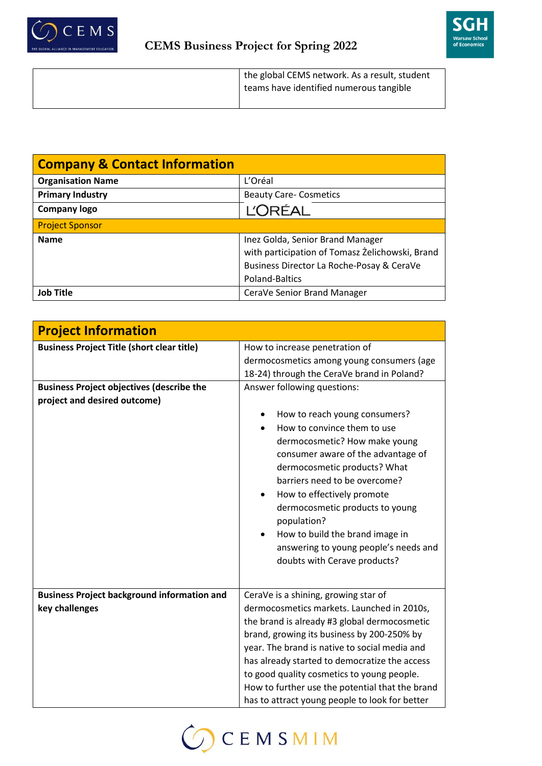



| <b>Company &amp; Contact Information</b> |                                                 |
|------------------------------------------|-------------------------------------------------|
| <b>Organisation Name</b>                 | L'Oréal                                         |
| <b>Primary Industry</b>                  | <b>Beauty Care- Cosmetics</b>                   |
| <b>Company logo</b>                      | <b>L'ORÉAL</b>                                  |
| <b>Project Sponsor</b>                   |                                                 |
| <b>Name</b>                              | Inez Golda, Senior Brand Manager                |
|                                          | with participation of Tomasz Żelichowski, Brand |
|                                          | Business Director La Roche-Posay & CeraVe       |
|                                          | Poland-Baltics                                  |
| Job Title                                | CeraVe Senior Brand Manager                     |

| <b>Project Information</b>                         |                                                 |
|----------------------------------------------------|-------------------------------------------------|
| <b>Business Project Title (short clear title)</b>  | How to increase penetration of                  |
|                                                    | dermocosmetics among young consumers (age       |
|                                                    | 18-24) through the CeraVe brand in Poland?      |
| <b>Business Project objectives (describe the</b>   | Answer following questions:                     |
| project and desired outcome)                       |                                                 |
|                                                    | How to reach young consumers?                   |
|                                                    | How to convince them to use                     |
|                                                    | dermocosmetic? How make young                   |
|                                                    | consumer aware of the advantage of              |
|                                                    | dermocosmetic products? What                    |
|                                                    | barriers need to be overcome?                   |
|                                                    | How to effectively promote                      |
|                                                    | dermocosmetic products to young                 |
|                                                    | population?                                     |
|                                                    | How to build the brand image in                 |
|                                                    | answering to young people's needs and           |
|                                                    | doubts with Cerave products?                    |
|                                                    |                                                 |
| <b>Business Project background information and</b> | CeraVe is a shining, growing star of            |
| key challenges                                     | dermocosmetics markets. Launched in 2010s,      |
|                                                    | the brand is already #3 global dermocosmetic    |
|                                                    | brand, growing its business by 200-250% by      |
|                                                    | year. The brand is native to social media and   |
|                                                    | has already started to democratize the access   |
|                                                    | to good quality cosmetics to young people.      |
|                                                    | How to further use the potential that the brand |
|                                                    | has to attract young people to look for better  |

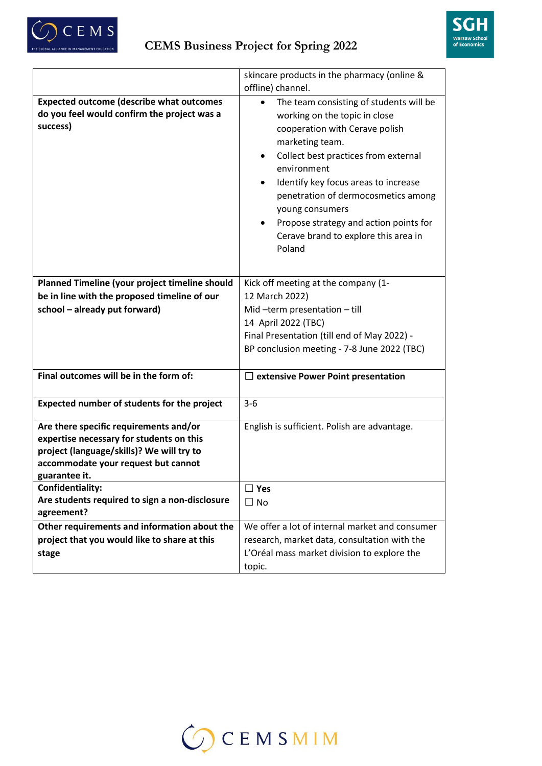



|                                                                                                                                                                                         | skincare products in the pharmacy (online &                                                                                                                                                                                                                                                                                                                                                               |
|-----------------------------------------------------------------------------------------------------------------------------------------------------------------------------------------|-----------------------------------------------------------------------------------------------------------------------------------------------------------------------------------------------------------------------------------------------------------------------------------------------------------------------------------------------------------------------------------------------------------|
|                                                                                                                                                                                         | offline) channel.                                                                                                                                                                                                                                                                                                                                                                                         |
| <b>Expected outcome (describe what outcomes</b><br>do you feel would confirm the project was a<br>success)                                                                              | The team consisting of students will be<br>$\bullet$<br>working on the topic in close<br>cooperation with Cerave polish<br>marketing team.<br>Collect best practices from external<br>٠<br>environment<br>Identify key focus areas to increase<br>penetration of dermocosmetics among<br>young consumers<br>Propose strategy and action points for<br>٠<br>Cerave brand to explore this area in<br>Poland |
| Planned Timeline (your project timeline should<br>be in line with the proposed timeline of our<br>school - already put forward)                                                         | Kick off meeting at the company (1-<br>12 March 2022)<br>Mid-term presentation-till<br>14 April 2022 (TBC)<br>Final Presentation (till end of May 2022) -<br>BP conclusion meeting - 7-8 June 2022 (TBC)                                                                                                                                                                                                  |
| Final outcomes will be in the form of:                                                                                                                                                  | $\Box$ extensive Power Point presentation                                                                                                                                                                                                                                                                                                                                                                 |
| Expected number of students for the project                                                                                                                                             | $3 - 6$                                                                                                                                                                                                                                                                                                                                                                                                   |
| Are there specific requirements and/or<br>expertise necessary for students on this<br>project (language/skills)? We will try to<br>accommodate your request but cannot<br>guarantee it. | English is sufficient. Polish are advantage.                                                                                                                                                                                                                                                                                                                                                              |
| Confidentiality:<br>Are students required to sign a non-disclosure<br>agreement?                                                                                                        | $\Box$ Yes<br>$\Box$ No                                                                                                                                                                                                                                                                                                                                                                                   |
| Other requirements and information about the<br>project that you would like to share at this<br>stage                                                                                   | We offer a lot of internal market and consumer<br>research, market data, consultation with the<br>L'Oréal mass market division to explore the                                                                                                                                                                                                                                                             |
|                                                                                                                                                                                         | topic.                                                                                                                                                                                                                                                                                                                                                                                                    |

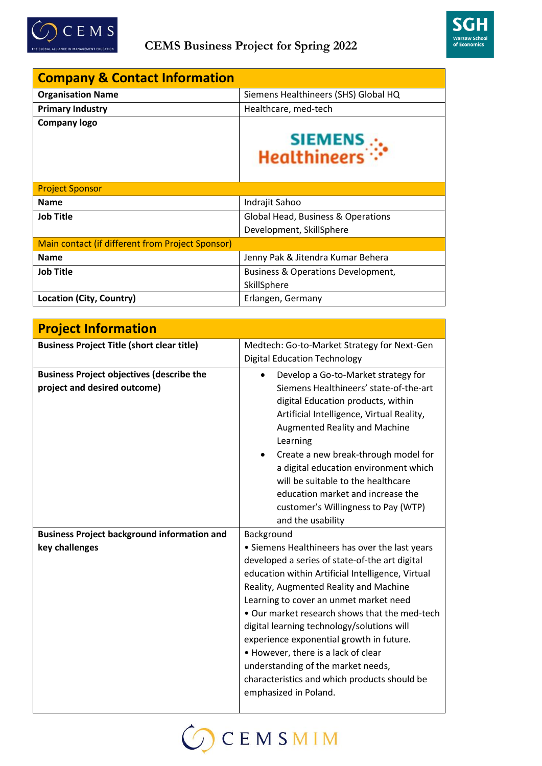



| <b>Company &amp; Contact Information</b>         |                                                   |
|--------------------------------------------------|---------------------------------------------------|
| <b>Organisation Name</b>                         | Siemens Healthineers (SHS) Global HQ              |
| <b>Primary Industry</b>                          | Healthcare, med-tech                              |
| <b>Company logo</b>                              |                                                   |
|                                                  | SIEMENS <sub>.</sub><br>Healthineers <sup>:</sup> |
| <b>Project Sponsor</b>                           |                                                   |
| <b>Name</b>                                      | Indrajit Sahoo                                    |
| <b>Job Title</b>                                 | Global Head, Business & Operations                |
|                                                  | Development, SkillSphere                          |
| Main contact (if different from Project Sponsor) |                                                   |
| <b>Name</b>                                      | Jenny Pak & Jitendra Kumar Behera                 |
| <b>Job Title</b>                                 | Business & Operations Development,                |
|                                                  | SkillSphere                                       |
| Location (City, Country)                         | Erlangen, Germany                                 |

| <b>Project Information</b>                                                       |                                                                                                                                                                                                                                                                                                                                                                                                                                                                                                                                            |
|----------------------------------------------------------------------------------|--------------------------------------------------------------------------------------------------------------------------------------------------------------------------------------------------------------------------------------------------------------------------------------------------------------------------------------------------------------------------------------------------------------------------------------------------------------------------------------------------------------------------------------------|
| <b>Business Project Title (short clear title)</b>                                | Medtech: Go-to-Market Strategy for Next-Gen                                                                                                                                                                                                                                                                                                                                                                                                                                                                                                |
|                                                                                  | <b>Digital Education Technology</b>                                                                                                                                                                                                                                                                                                                                                                                                                                                                                                        |
| <b>Business Project objectives (describe the</b><br>project and desired outcome) | Develop a Go-to-Market strategy for<br>Siemens Healthineers' state-of-the-art<br>digital Education products, within<br>Artificial Intelligence, Virtual Reality,<br><b>Augmented Reality and Machine</b><br>Learning<br>Create a new break-through model for<br>a digital education environment which<br>will be suitable to the healthcare<br>education market and increase the<br>customer's Willingness to Pay (WTP)<br>and the usability                                                                                               |
| <b>Business Project background information and</b>                               | Background                                                                                                                                                                                                                                                                                                                                                                                                                                                                                                                                 |
| key challenges                                                                   | • Siemens Healthineers has over the last years<br>developed a series of state-of-the art digital<br>education within Artificial Intelligence, Virtual<br>Reality, Augmented Reality and Machine<br>Learning to cover an unmet market need<br>• Our market research shows that the med-tech<br>digital learning technology/solutions will<br>experience exponential growth in future.<br>• However, there is a lack of clear<br>understanding of the market needs,<br>characteristics and which products should be<br>emphasized in Poland. |

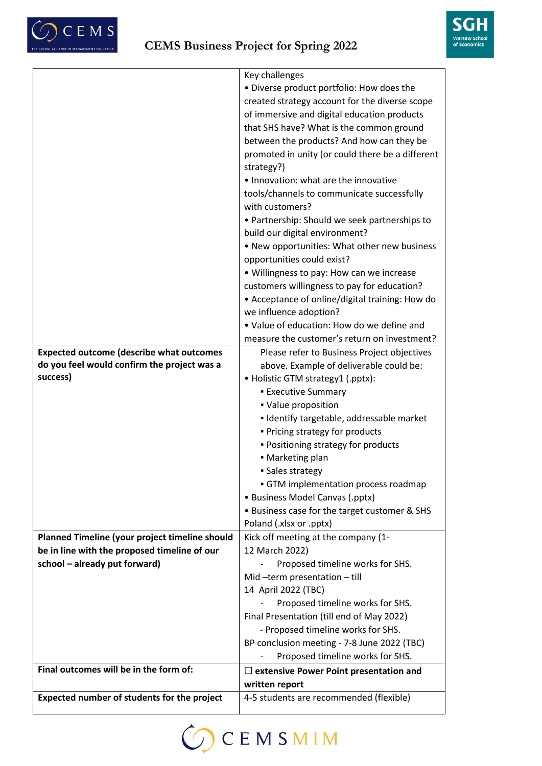



|                                                 | Key challenges                                   |
|-------------------------------------------------|--------------------------------------------------|
|                                                 | · Diverse product portfolio: How does the        |
|                                                 | created strategy account for the diverse scope   |
|                                                 | of immersive and digital education products      |
|                                                 | that SHS have? What is the common ground         |
|                                                 | between the products? And how can they be        |
|                                                 | promoted in unity (or could there be a different |
|                                                 | strategy?)                                       |
|                                                 | • Innovation: what are the innovative            |
|                                                 | tools/channels to communicate successfully       |
|                                                 | with customers?                                  |
|                                                 | • Partnership: Should we seek partnerships to    |
|                                                 | build our digital environment?                   |
|                                                 | • New opportunities: What other new business     |
|                                                 | opportunities could exist?                       |
|                                                 | . Willingness to pay: How can we increase        |
|                                                 | customers willingness to pay for education?      |
|                                                 | • Acceptance of online/digital training: How do  |
|                                                 | we influence adoption?                           |
|                                                 | . Value of education: How do we define and       |
|                                                 | measure the customer's return on investment?     |
| <b>Expected outcome (describe what outcomes</b> | Please refer to Business Project objectives      |
| do you feel would confirm the project was a     | above. Example of deliverable could be:          |
| success)                                        | • Holistic GTM strategy1 (.pptx):                |
|                                                 | <b>Executive Summary</b>                         |
|                                                 | • Value proposition                              |
|                                                 | · Identify targetable, addressable market        |
|                                                 | . Pricing strategy for products                  |
|                                                 | · Positioning strategy for products              |
|                                                 | • Marketing plan                                 |
|                                                 | · Sales strategy                                 |
|                                                 | GTM implementation process roadmap               |
|                                                 | • Business Model Canvas (.pptx)                  |
|                                                 | • Business case for the target customer & SHS    |
|                                                 | Poland (.xlsx or .pptx)                          |
| Planned Timeline (your project timeline should  | Kick off meeting at the company (1-              |
| be in line with the proposed timeline of our    | 12 March 2022)                                   |
| school - already put forward)                   | Proposed timeline works for SHS.                 |
|                                                 | Mid-term presentation-till                       |
|                                                 | 14 April 2022 (TBC)                              |
|                                                 | Proposed timeline works for SHS.                 |
|                                                 | Final Presentation (till end of May 2022)        |
|                                                 | - Proposed timeline works for SHS.               |
|                                                 |                                                  |
|                                                 | BP conclusion meeting - 7-8 June 2022 (TBC)      |
| Final outcomes will be in the form of:          | Proposed timeline works for SHS.                 |
|                                                 | $\Box$ extensive Power Point presentation and    |
|                                                 | written report                                   |
| Expected number of students for the project     | 4-5 students are recommended (flexible)          |

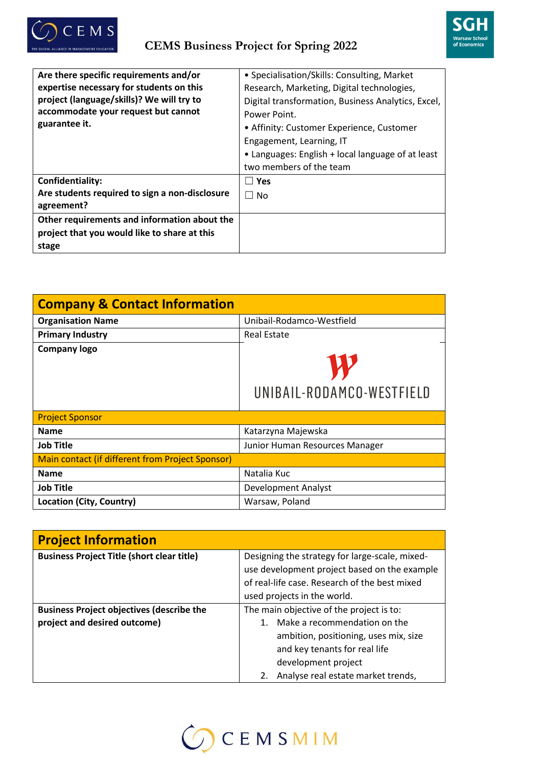



| Are there specific requirements and/or         | • Specialisation/Skills: Consulting, Market        |
|------------------------------------------------|----------------------------------------------------|
| expertise necessary for students on this       | Research, Marketing, Digital technologies,         |
| project (language/skills)? We will try to      | Digital transformation, Business Analytics, Excel, |
| accommodate your request but cannot            | Power Point.                                       |
| guarantee it.                                  | • Affinity: Customer Experience, Customer          |
|                                                | Engagement, Learning, IT                           |
|                                                | • Languages: English + local language of at least  |
|                                                | two members of the team                            |
| Confidentiality:                               | l l Yes                                            |
| Are students required to sign a non-disclosure | $\Box$ No                                          |
| agreement?                                     |                                                    |
| Other requirements and information about the   |                                                    |
| project that you would like to share at this   |                                                    |
| stage                                          |                                                    |

| <b>Company &amp; Contact Information</b>         |                                |
|--------------------------------------------------|--------------------------------|
| <b>Organisation Name</b>                         | Unibail-Rodamco-Westfield      |
| <b>Primary Industry</b>                          | <b>Real Estate</b>             |
| <b>Company logo</b>                              | UNIBAIL-RODAMCO-WESTFIELD      |
| <b>Project Sponsor</b>                           |                                |
| <b>Name</b>                                      | Katarzyna Majewska             |
| <b>Job Title</b>                                 | Junior Human Resources Manager |
| Main contact (if different from Project Sponsor) |                                |
| <b>Name</b>                                      | Natalia Kuc                    |
| <b>Job Title</b>                                 | <b>Development Analyst</b>     |
| Location (City, Country)                         | Warsaw, Poland                 |

| <b>Project Information</b>                        |                                                |
|---------------------------------------------------|------------------------------------------------|
| <b>Business Project Title (short clear title)</b> | Designing the strategy for large-scale, mixed- |
|                                                   | use development project based on the example   |
|                                                   | of real-life case. Research of the best mixed  |
|                                                   | used projects in the world.                    |
| <b>Business Project objectives (describe the</b>  | The main objective of the project is to:       |
| project and desired outcome)                      | Make a recommendation on the                   |
|                                                   | ambition, positioning, uses mix, size          |
|                                                   | and key tenants for real life                  |
|                                                   | development project                            |
|                                                   | Analyse real estate market trends,             |